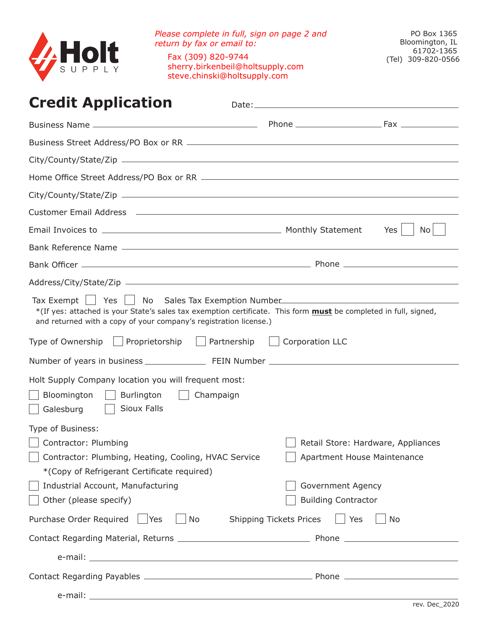

*Please complete in full, sign on page 2 and return by fax or email to:* Fax (309) 820-9744 sherry.birkenbeil@holtsupply.com steve.chinski@holtsupply.com

# **Credit Application**

| <b>Credit Application</b>                                                                                                                                                                                                                                                                                                  |                                                                   |                            |
|----------------------------------------------------------------------------------------------------------------------------------------------------------------------------------------------------------------------------------------------------------------------------------------------------------------------------|-------------------------------------------------------------------|----------------------------|
|                                                                                                                                                                                                                                                                                                                            |                                                                   |                            |
|                                                                                                                                                                                                                                                                                                                            |                                                                   |                            |
|                                                                                                                                                                                                                                                                                                                            |                                                                   |                            |
|                                                                                                                                                                                                                                                                                                                            |                                                                   |                            |
|                                                                                                                                                                                                                                                                                                                            |                                                                   |                            |
| Customer Email Address 2000 Customer Customer 2000 Customer 2000 Customer 2000 Customer 2000 Customer 2000 Cus                                                                                                                                                                                                             |                                                                   |                            |
|                                                                                                                                                                                                                                                                                                                            |                                                                   | Yes $ $<br>No <sub>1</sub> |
|                                                                                                                                                                                                                                                                                                                            |                                                                   |                            |
|                                                                                                                                                                                                                                                                                                                            |                                                                   |                            |
|                                                                                                                                                                                                                                                                                                                            |                                                                   |                            |
| Tax Exempt     Yes     No Sales Tax Exemption Number<br>*(If yes: attached is your State's sales tax exemption certificate. This form <b>must</b> be completed in full, signed,<br>and returned with a copy of your company's registration license.)<br>Type of Ownership   Proprietorship   Partnership   Corporation LLC |                                                                   |                            |
|                                                                                                                                                                                                                                                                                                                            |                                                                   |                            |
| Holt Supply Company location you will frequent most:<br>Bloomington     Burlington<br>Champaign<br>  Sioux Falls<br>Galesburg                                                                                                                                                                                              |                                                                   |                            |
| Type of Business:                                                                                                                                                                                                                                                                                                          |                                                                   |                            |
| Contractor: Plumbing<br>Contractor: Plumbing, Heating, Cooling, HVAC Service<br>*(Copy of Refrigerant Certificate required)                                                                                                                                                                                                | Retail Store: Hardware, Appliances<br>Apartment House Maintenance |                            |
| Industrial Account, Manufacturing                                                                                                                                                                                                                                                                                          | Government Agency                                                 |                            |
| Other (please specify)                                                                                                                                                                                                                                                                                                     | <b>Building Contractor</b>                                        |                            |
| Purchase Order Required   Yes<br>  No                                                                                                                                                                                                                                                                                      | <b>Shipping Tickets Prices</b><br>Yes                             | No                         |
|                                                                                                                                                                                                                                                                                                                            |                                                                   |                            |
|                                                                                                                                                                                                                                                                                                                            |                                                                   |                            |
|                                                                                                                                                                                                                                                                                                                            |                                                                   |                            |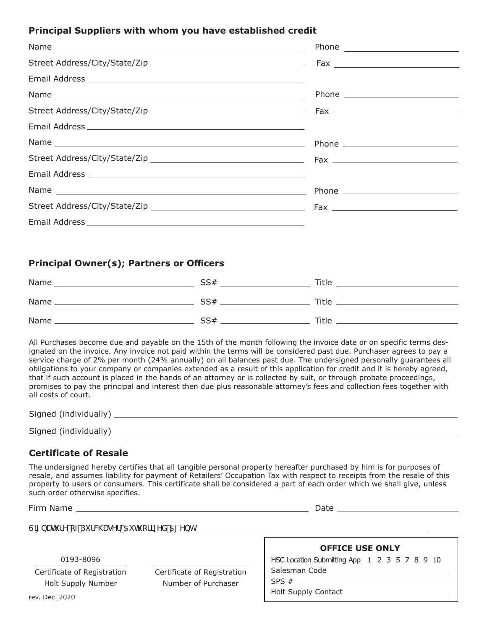### **Principal Suppliers with whom you have established credit**

### **Principal Owner(s); Partners or Officers**

| Name | SS# | <b>Title</b> |
|------|-----|--------------|
| Name | SS# | Title        |
| Name | SS# | Title        |

All Purchases become due and payable on the 15th of the month following the invoice date or on specific terms designated on the invoice. Any invoice not paid within the terms will be considered past due. Purchaser agrees to pay a service charge of 2% per month (24% annually) on all balances past due. The undersigned personally guarantees all obligations to your company or companies extended as a result of this application for credit and it is hereby agreed, that if such account is placed in the hands of an attorney or is collected by suit, or through probate proceedings, promises to pay the principal and interest then due plus reasonable attorney's fees and collection fees together with all costs of court.

| Signed (individually) _ |                       |  |  |  |  |  |  |
|-------------------------|-----------------------|--|--|--|--|--|--|
|                         | Signed (individually) |  |  |  |  |  |  |

### **Certificate of Resale**

The undersigned hereby certifies that all tangible personal property hereafter purchased by him is for purposes of resale, and assumes liability for payment of Retailers' Occupation Tax with respect to receipts from the resale of this property to users or consumers. This certificate shall be considered a part of each order which we shall give, unless such order otherwise specifies.

Firm Name Latter and the state of the state of the state of the Date Date of the State of the State of the State of the State of the State of the State of the State of the State of the State of the State of the State of th

6LJQDWXUHRI3XUFKDVHU\$XWKRUL]HG\$JHQW

0193-8096

Certificate of Registration Holt Supply Number

Certificate of Registration Number of Purchaser

| <b>OFFICE USE ONLY</b>                       |  |  |  |  |  |  |  |
|----------------------------------------------|--|--|--|--|--|--|--|
| HSC Location Submitting App 1 2 3 5 7 8 9 10 |  |  |  |  |  |  |  |
| Salesman Code                                |  |  |  |  |  |  |  |

 $SPS # \_$ 

Holt Supply Contact

rev. Dec\_2020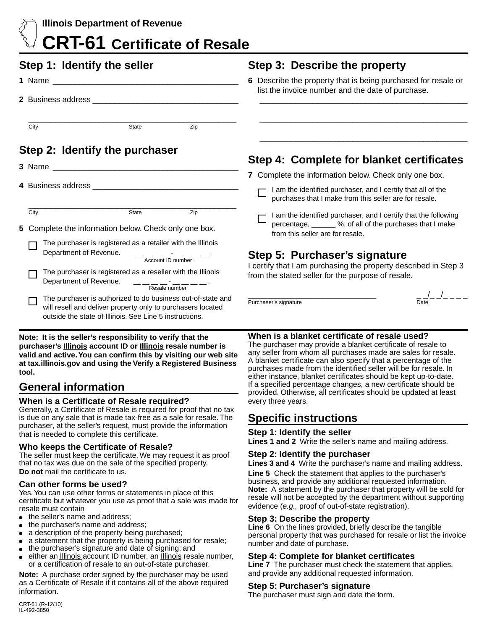# **CRT-61 Certificate of Resale**

|      | Step 1: Identify the seller                                                                                                                                                                                                                                      |                                                                                                                                                                                                                                                                                                                                                                                                                                                                                                        |                                                               | Step 3: Describe the property                                                                                                                                                  |      |  |  |
|------|------------------------------------------------------------------------------------------------------------------------------------------------------------------------------------------------------------------------------------------------------------------|--------------------------------------------------------------------------------------------------------------------------------------------------------------------------------------------------------------------------------------------------------------------------------------------------------------------------------------------------------------------------------------------------------------------------------------------------------------------------------------------------------|---------------------------------------------------------------|--------------------------------------------------------------------------------------------------------------------------------------------------------------------------------|------|--|--|
|      |                                                                                                                                                                                                                                                                  |                                                                                                                                                                                                                                                                                                                                                                                                                                                                                                        | 6 Describe the property that is being purchased for resale or |                                                                                                                                                                                |      |  |  |
|      |                                                                                                                                                                                                                                                                  |                                                                                                                                                                                                                                                                                                                                                                                                                                                                                                        | list the invoice number and the date of purchase.             |                                                                                                                                                                                |      |  |  |
| City | State                                                                                                                                                                                                                                                            | Zip                                                                                                                                                                                                                                                                                                                                                                                                                                                                                                    |                                                               |                                                                                                                                                                                |      |  |  |
|      | Step 2: Identify the purchaser<br>3 Name and the state of the state of the state of the state of the state of the state of the state of the state of the state of the state of the state of the state of the state of the state of the state of the state of the |                                                                                                                                                                                                                                                                                                                                                                                                                                                                                                        |                                                               | Step 4: Complete for blanket certificates                                                                                                                                      |      |  |  |
|      |                                                                                                                                                                                                                                                                  |                                                                                                                                                                                                                                                                                                                                                                                                                                                                                                        |                                                               | 7 Complete the information below. Check only one box.                                                                                                                          |      |  |  |
|      |                                                                                                                                                                                                                                                                  |                                                                                                                                                                                                                                                                                                                                                                                                                                                                                                        |                                                               | I am the identified purchaser, and I certify that all of the purchases that I make from this seller are for resale.                                                            |      |  |  |
| City | State<br>5 Complete the information below. Check only one box.<br>The purchaser is registered as a retailer with the Illinois                                                                                                                                    | Zip                                                                                                                                                                                                                                                                                                                                                                                                                                                                                                    |                                                               | I am the identified purchaser, and I certify that the following<br>percentage, ______ %, of all of the purchases that I make<br>from this seller are for resale.               |      |  |  |
|      | Department of Revenue.                                                                                                                                                                                                                                           | $\frac{1}{1-\alpha} \frac{1}{1-\alpha} \frac{1}{1-\alpha} \frac{1}{1-\alpha} \frac{1}{1-\alpha} \frac{1}{1-\alpha} \frac{1}{1-\alpha} \frac{1}{1-\alpha} \frac{1}{1-\alpha} \frac{1}{1-\alpha} \frac{1}{1-\alpha} \frac{1}{1-\alpha} \frac{1}{1-\alpha} \frac{1}{1-\alpha} \frac{1}{1-\alpha} \frac{1}{1-\alpha} \frac{1}{1-\alpha} \frac{1}{1-\alpha} \frac{1}{1-\alpha} \frac{1}{1-\alpha} \frac{1}{1-\alpha} \frac{1}{1-\alpha} \frac{1}{1-\alpha} \frac{1}{1-\alpha} \frac{1$<br>Account ID number |                                                               | Step 5: Purchaser's signature<br>I certify that I am purchasing the property described in Step 3                                                                               |      |  |  |
|      | The purchaser is registered as a reseller with the Illinois                                                                                                                                                                                                      |                                                                                                                                                                                                                                                                                                                                                                                                                                                                                                        |                                                               | from the stated seller for the purpose of resale.                                                                                                                              |      |  |  |
|      | The purchaser is authorized to do business out-of-state and<br>will resell and deliver property only to purchasers located<br>outside the state of Illinois. See Line 5 instructions.                                                                            |                                                                                                                                                                                                                                                                                                                                                                                                                                                                                                        | Purchaser's signature                                         |                                                                                                                                                                                | Date |  |  |
|      | Note: It is the seller's responsibility to verify that the<br>purchaser's <b>Illinois</b> account ID or <b>Illinois</b> resale number is<br>valid and active. You can confirm this by visiting our web site                                                      |                                                                                                                                                                                                                                                                                                                                                                                                                                                                                                        |                                                               | When is a blanket certificate of resale used?<br>The purchaser may provide a blanket certificate of resale to<br>any seller from whom all purchases made are sales for resale. |      |  |  |

valid and active. You can confirm this by visiting our web site **at tax.illinois.gov and using the Verify a Registered Business tool.**

# **General information**

### **When is a Certificate of Resale required?**

Generally, a Certificate of Resale is required for proof that no tax is due on any sale that is made tax-free as a sale for resale. The purchaser, at the seller's request, must provide the information that is needed to complete this certificate.

#### **Who keeps the Certificate of Resale?**

The seller must keep the certificate. We may request it as proof that no tax was due on the sale of the specified property. **Do not** mail the certificate to us.

#### **Can other forms be used?**

Yes. You can use other forms or statements in place of this certificate but whatever you use as proof that a sale was made for resale must contain

- the seller's name and address;
- the purchaser's name and address;
- a description of the property being purchased;  $\bullet$
- a statement that the property is being purchased for resale;  $\bullet$
- the purchaser's signature and date of signing; and
- either an Illinois account ID number, an Illinois resale number,  $\bullet$ or a certification of resale to an out-of-state purchaser.

**Note:** A purchase order signed by the purchaser may be used as a Certificate of Resale if it contains all of the above required information.

any seller from whom all purchases made are sales for resale. A blanket certificate can also specify that a percentage of the purchases made from the identified seller will be for resale. In either instance, blanket certificates should be kept up-to-date. If a specified percentage changes, a new certificate should be provided. Otherwise, all certificates should be updated at least every three years.

# **Specific instructions**

## **Step 1: Identify the seller**

**Lines 1 and 2** Write the seller's name and mailing address.

## **Step 2: Identify the purchaser**

**Lines 3 and 4** Write the purchaser's name and mailing address.

**Line 5** Check the statement that applies to the purchaser's business, and provide any additional requested information. **Note:** A statement by the purchaser that property will be sold for resale will not be accepted by the department without supporting evidence (e.g., proof of out-of-state registration).

# **Step 3: Describe the property**

**Line 6** On the lines provided, briefly describe the tangible personal property that was purchased for resale or list the invoice number and date of purchase.

# **Step 4: Complete for blanket certificates**

**Line 7** The purchaser must check the statement that applies, and provide any additional requested information.

## **Step 5: Purchaser's signature**

The purchaser must sign and date the form.

CRT-61 (R-12/10) IL-492-3850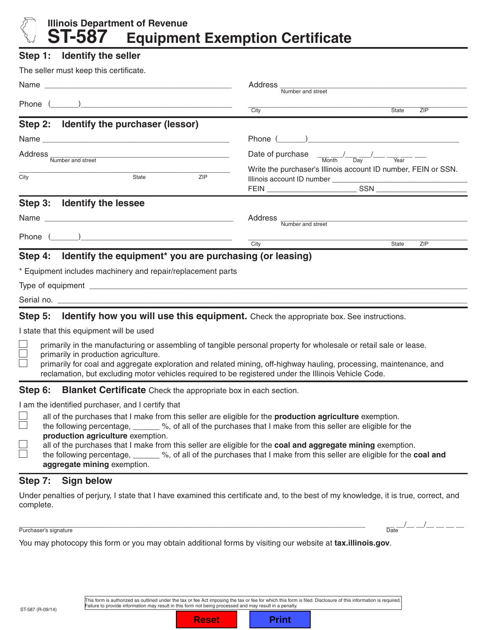

| Step 1: Identify the seller                                            |                                      |     |                                                                                                                                                                                                                                                                                                                                                                                                                                                               |                                                                                                                                      |
|------------------------------------------------------------------------|--------------------------------------|-----|---------------------------------------------------------------------------------------------------------------------------------------------------------------------------------------------------------------------------------------------------------------------------------------------------------------------------------------------------------------------------------------------------------------------------------------------------------------|--------------------------------------------------------------------------------------------------------------------------------------|
| The seller must keep this certificate.                                 |                                      |     |                                                                                                                                                                                                                                                                                                                                                                                                                                                               |                                                                                                                                      |
| Name                                                                   |                                      |     | Address Number and street                                                                                                                                                                                                                                                                                                                                                                                                                                     |                                                                                                                                      |
|                                                                        |                                      |     | City                                                                                                                                                                                                                                                                                                                                                                                                                                                          | <b>State</b><br>ZIP                                                                                                                  |
| Step 2: Identify the purchaser (lessor)                                |                                      |     |                                                                                                                                                                                                                                                                                                                                                                                                                                                               |                                                                                                                                      |
|                                                                        |                                      |     |                                                                                                                                                                                                                                                                                                                                                                                                                                                               |                                                                                                                                      |
| Address<br>Number and street<br>Number and street                      |                                      |     | Date of purchase $\frac{1}{\sqrt{M\text{orth}}}$ $\frac{1}{\sqrt{B\text{ay}}}$ $\frac{1}{\sqrt{B\text{ear}}}$ $\frac{1}{\sqrt{B\text{ear}}}$                                                                                                                                                                                                                                                                                                                  |                                                                                                                                      |
|                                                                        |                                      |     |                                                                                                                                                                                                                                                                                                                                                                                                                                                               | Write the purchaser's Illinois account ID number, FEIN or SSN.                                                                       |
| City                                                                   | State                                | ZIP |                                                                                                                                                                                                                                                                                                                                                                                                                                                               |                                                                                                                                      |
| Step 3: Identify the lessee                                            |                                      |     |                                                                                                                                                                                                                                                                                                                                                                                                                                                               |                                                                                                                                      |
|                                                                        |                                      |     | Address<br>Number and street                                                                                                                                                                                                                                                                                                                                                                                                                                  |                                                                                                                                      |
|                                                                        |                                      |     |                                                                                                                                                                                                                                                                                                                                                                                                                                                               |                                                                                                                                      |
|                                                                        |                                      |     | City<br>Step 4: Identify the equipment <sup>*</sup> you are purchasing (or leasing)                                                                                                                                                                                                                                                                                                                                                                           | State<br>ZIP                                                                                                                         |
| * Equipment includes machinery and repair/replacement parts            |                                      |     |                                                                                                                                                                                                                                                                                                                                                                                                                                                               |                                                                                                                                      |
|                                                                        |                                      |     | Step 5: Identify how you will use this equipment. Check the appropriate box. See instructions.                                                                                                                                                                                                                                                                                                                                                                |                                                                                                                                      |
| I state that this equipment will be used                               |                                      |     |                                                                                                                                                                                                                                                                                                                                                                                                                                                               |                                                                                                                                      |
|                                                                        | primarily in production agriculture. |     | primarily in the manufacturing or assembling of tangible personal property for wholesale or retail sale or lease.<br>primarily for coal and aggregate exploration and related mining, off-highway hauling, processing, maintenance, and<br>reclamation, but excluding motor vehicles required to be registered under the Illinois Vehicle Code.                                                                                                               |                                                                                                                                      |
| Step 6: Blanket Certificate Check the appropriate box in each section. |                                      |     |                                                                                                                                                                                                                                                                                                                                                                                                                                                               |                                                                                                                                      |
| I am the identified purchaser, and I certify that                      |                                      |     |                                                                                                                                                                                                                                                                                                                                                                                                                                                               |                                                                                                                                      |
| aggregate mining exemption.                                            | production agriculture exemption.    |     | all of the purchases that I make from this seller are eligible for the production agriculture exemption.<br>the following percentage, ______ %, of all of the purchases that I make from this seller are eligible for the<br>all of the purchases that I make from this seller are eligible for the coal and aggregate mining exemption.<br>the following percentage, 5, 0.05 all of the purchases that I make from this seller are eligible for the coal and |                                                                                                                                      |
| Step 7:<br><b>Sign below</b>                                           |                                      |     |                                                                                                                                                                                                                                                                                                                                                                                                                                                               |                                                                                                                                      |
| complete.                                                              |                                      |     |                                                                                                                                                                                                                                                                                                                                                                                                                                                               | Under penalties of perjury, I state that I have examined this certificate and, to the best of my knowledge, it is true, correct, and |

Purchaser's signature

You may photocopy this form or you may obtain additional forms by visiting our website at **tax.illinois.gov**.

ST-587 (R-09/14)

This form is authorized as outlined under the tax or fee Act imposing the tax or fee for which this form is filed. Disclosure of this information is required.<br>Failure to provide information may result in this form not bein





\_\_\_\_\_\_\_\_\_\_\_\_\_\_\_\_\_\_\_\_\_\_\_\_\_\_\_\_\_\_\_\_\_\_\_\_\_\_\_\_\_\_\_\_\_\_\_\_\_\_\_\_\_\_\_\_\_\_\_\_\_\_\_\_\_\_\_\_\_\_\_\_\_\_\_\_\_\_\_\_\_\_\_\_\_\_\_ \_\_ \_\_/\_\_ \_\_/\_\_ \_\_ \_\_ \_\_